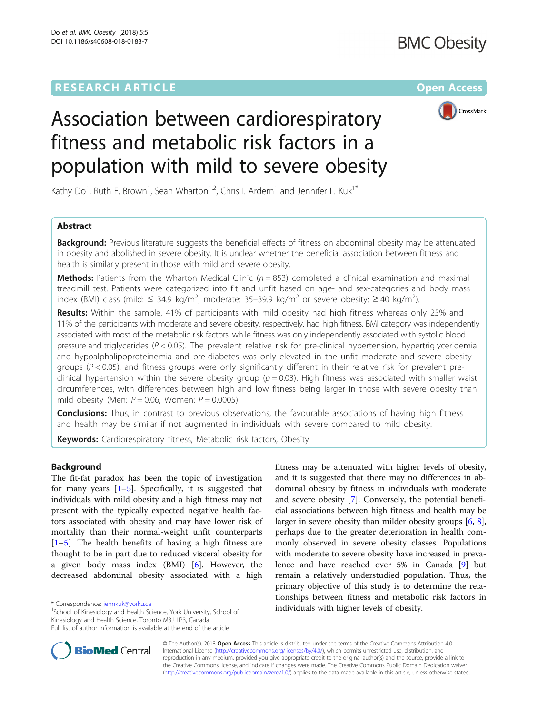# **RESEARCH ARTICLE External Structure Community Community Community Community Community Community Community Community**



# Association between cardiorespiratory fitness and metabolic risk factors in a population with mild to severe obesity

Kathy Do<sup>1</sup>, Ruth E. Brown<sup>1</sup>, Sean Wharton<sup>1,2</sup>, Chris I. Ardern<sup>1</sup> and Jennifer L. Kuk<sup>1\*</sup>

# Abstract

Background: Previous literature suggests the beneficial effects of fitness on abdominal obesity may be attenuated in obesity and abolished in severe obesity. It is unclear whether the beneficial association between fitness and health is similarly present in those with mild and severe obesity.

**Methods:** Patients from the Wharton Medical Clinic ( $n = 853$ ) completed a clinical examination and maximal treadmill test. Patients were categorized into fit and unfit based on age- and sex-categories and body mass index (BMI) class (mild: ≤ 34.9 kg/m<sup>2</sup>, moderate: 35–39.9 kg/m<sup>2</sup> or severe obesity: ≥ 40 kg/m<sup>2</sup>).

Results: Within the sample, 41% of participants with mild obesity had high fitness whereas only 25% and 11% of the participants with moderate and severe obesity, respectively, had high fitness. BMI category was independently associated with most of the metabolic risk factors, while fitness was only independently associated with systolic blood pressure and triglycerides ( $P < 0.05$ ). The prevalent relative risk for pre-clinical hypertension, hypertriglyceridemia and hypoalphalipoproteinemia and pre-diabetes was only elevated in the unfit moderate and severe obesity groups ( $P < 0.05$ ), and fitness groups were only significantly different in their relative risk for prevalent preclinical hypertension within the severe obesity group ( $p = 0.03$ ). High fitness was associated with smaller waist circumferences, with differences between high and low fitness being larger in those with severe obesity than mild obesity (Men:  $P = 0.06$ , Women:  $P = 0.0005$ ).

**Conclusions:** Thus, in contrast to previous observations, the favourable associations of having high fitness and health may be similar if not augmented in individuals with severe compared to mild obesity.

Keywords: Cardiorespiratory fitness, Metabolic risk factors, Obesity

# Background

The fit-fat paradox has been the topic of investigation for many years  $[1–5]$  $[1–5]$  $[1–5]$  $[1–5]$ . Specifically, it is suggested that individuals with mild obesity and a high fitness may not present with the typically expected negative health factors associated with obesity and may have lower risk of mortality than their normal-weight unfit counterparts  $[1–5]$  $[1–5]$  $[1–5]$  $[1–5]$ . The health benefits of having a high fitness are thought to be in part due to reduced visceral obesity for a given body mass index (BMI) [\[6](#page-5-0)]. However, the decreased abdominal obesity associated with a high

fitness may be attenuated with higher levels of obesity, and it is suggested that there may no differences in abdominal obesity by fitness in individuals with moderate and severe obesity [\[7](#page-5-0)]. Conversely, the potential beneficial associations between high fitness and health may be larger in severe obesity than milder obesity groups [\[6](#page-5-0), [8](#page-5-0)], perhaps due to the greater deterioration in health commonly observed in severe obesity classes. Populations with moderate to severe obesity have increased in prevalence and have reached over 5% in Canada [[9\]](#page-5-0) but remain a relatively understudied population. Thus, the primary objective of this study is to determine the relationships between fitness and metabolic risk factors in individuals with higher levels of obesity. \* Correspondence: [jennkuk@yorku.ca](mailto:jennkuk@yorku.ca) <sup>1</sup>



© The Author(s). 2018 Open Access This article is distributed under the terms of the Creative Commons Attribution 4.0 International License [\(http://creativecommons.org/licenses/by/4.0/](http://creativecommons.org/licenses/by/4.0/)), which permits unrestricted use, distribution, and reproduction in any medium, provided you give appropriate credit to the original author(s) and the source, provide a link to the Creative Commons license, and indicate if changes were made. The Creative Commons Public Domain Dedication waiver [\(http://creativecommons.org/publicdomain/zero/1.0/](http://creativecommons.org/publicdomain/zero/1.0/)) applies to the data made available in this article, unless otherwise stated.

<sup>&</sup>lt;sup>1</sup>School of Kinesiology and Health Science, York University, School of Kinesiology and Health Science, Toronto M3J 1P3, Canada Full list of author information is available at the end of the article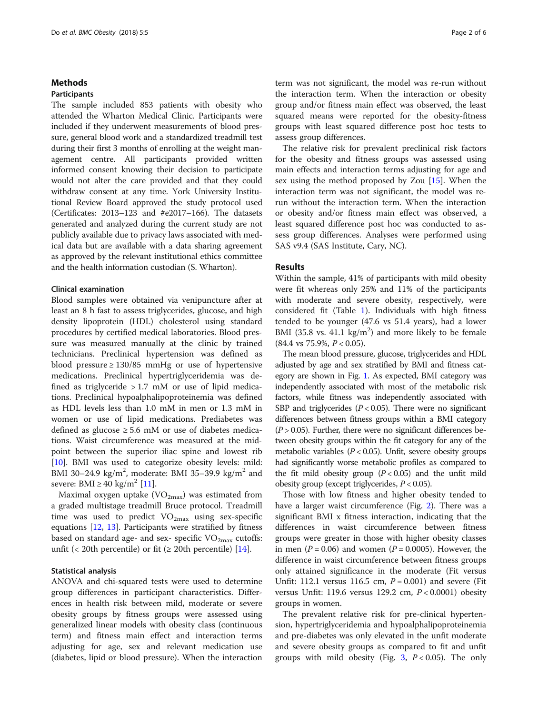# Methods

# Participants

The sample included 853 patients with obesity who attended the Wharton Medical Clinic. Participants were included if they underwent measurements of blood pressure, general blood work and a standardized treadmill test during their first 3 months of enrolling at the weight management centre. All participants provided written informed consent knowing their decision to participate would not alter the care provided and that they could withdraw consent at any time. York University Institutional Review Board approved the study protocol used (Certificates: 2013–123 and #e2017–166). The datasets generated and analyzed during the current study are not publicly available due to privacy laws associated with medical data but are available with a data sharing agreement as approved by the relevant institutional ethics committee and the health information custodian (S. Wharton).

# Clinical examination

Blood samples were obtained via venipuncture after at least an 8 h fast to assess triglycerides, glucose, and high density lipoprotein (HDL) cholesterol using standard procedures by certified medical laboratories. Blood pressure was measured manually at the clinic by trained technicians. Preclinical hypertension was defined as blood pressure  $\geq$  130/85 mmHg or use of hypertensive medications. Preclinical hypertriglyceridemia was defined as triglyceride  $> 1.7$  mM or use of lipid medications. Preclinical hypoalphalipoproteinemia was defined as HDL levels less than 1.0 mM in men or 1.3 mM in women or use of lipid medications. Prediabetes was defined as glucose  $\geq 5.6$  mM or use of diabetes medications. Waist circumference was measured at the midpoint between the superior iliac spine and lowest rib [[10\]](#page-5-0). BMI was used to categorize obesity levels: mild: BMI 30-24.9 kg/m<sup>2</sup>, moderate: BMI 35-39.9 kg/m<sup>2</sup> and severe: BMI  $\geq 40 \text{ kg/m}^2$  [\[11](#page-5-0)].

Maximal oxygen uptake  $(VO_{2max})$  was estimated from a graded multistage treadmill Bruce protocol. Treadmill time was used to predict  $VO_{2max}$  using sex-specific equations  $[12, 13]$  $[12, 13]$  $[12, 13]$  $[12, 13]$  $[12, 13]$ . Participants were stratified by fitness based on standard age- and sex- specific  $VO_{2max}$  cutoffs: unfit (< 20th percentile) or fit ( $\geq$  20th percentile) [\[14](#page-5-0)].

# Statistical analysis

ANOVA and chi-squared tests were used to determine group differences in participant characteristics. Differences in health risk between mild, moderate or severe obesity groups by fitness groups were assessed using generalized linear models with obesity class (continuous term) and fitness main effect and interaction terms adjusting for age, sex and relevant medication use (diabetes, lipid or blood pressure). When the interaction term was not significant, the model was re-run without the interaction term. When the interaction or obesity group and/or fitness main effect was observed, the least squared means were reported for the obesity-fitness groups with least squared difference post hoc tests to assess group differences.

The relative risk for prevalent preclinical risk factors for the obesity and fitness groups was assessed using main effects and interaction terms adjusting for age and sex using the method proposed by Zou [[15\]](#page-5-0). When the interaction term was not significant, the model was rerun without the interaction term. When the interaction or obesity and/or fitness main effect was observed, a least squared difference post hoc was conducted to assess group differences. Analyses were performed using SAS v9.4 (SAS Institute, Cary, NC).

# Results

Within the sample, 41% of participants with mild obesity were fit whereas only 25% and 11% of the participants with moderate and severe obesity, respectively, were considered fit (Table [1](#page-2-0)). Individuals with high fitness tended to be younger (47.6 vs 51.4 years), had a lower BMI (35.8 vs.  $41.1 \text{ kg/m}^2$ ) and more likely to be female  $(84.4 \text{ vs } 75.9\%, P < 0.05).$ 

The mean blood pressure, glucose, triglycerides and HDL adjusted by age and sex stratified by BMI and fitness category are shown in Fig. [1](#page-3-0). As expected, BMI category was independently associated with most of the metabolic risk factors, while fitness was independently associated with SBP and triglycerides ( $P < 0.05$ ). There were no significant differences between fitness groups within a BMI category  $(P > 0.05)$ . Further, there were no significant differences between obesity groups within the fit category for any of the metabolic variables ( $P < 0.05$ ). Unfit, severe obesity groups had significantly worse metabolic profiles as compared to the fit mild obesity group  $(P < 0.05)$  and the unfit mild obesity group (except triglycerides,  $P < 0.05$ ).

Those with low fitness and higher obesity tended to have a larger waist circumference (Fig. [2](#page-3-0)). There was a significant BMI x fitness interaction, indicating that the differences in waist circumference between fitness groups were greater in those with higher obesity classes in men ( $P = 0.06$ ) and women ( $P = 0.0005$ ). However, the difference in waist circumference between fitness groups only attained significance in the moderate (Fit versus Unfit: 112.1 versus 116.5 cm,  $P = 0.001$ ) and severe (Fit versus Unfit: 119.6 versus 129.2 cm,  $P < 0.0001$ ) obesity groups in women.

The prevalent relative risk for pre-clinical hypertension, hypertriglyceridemia and hypoalphalipoproteinemia and pre-diabetes was only elevated in the unfit moderate and severe obesity groups as compared to fit and unfit groups with mild obesity (Fig. [3,](#page-4-0)  $P < 0.05$ ). The only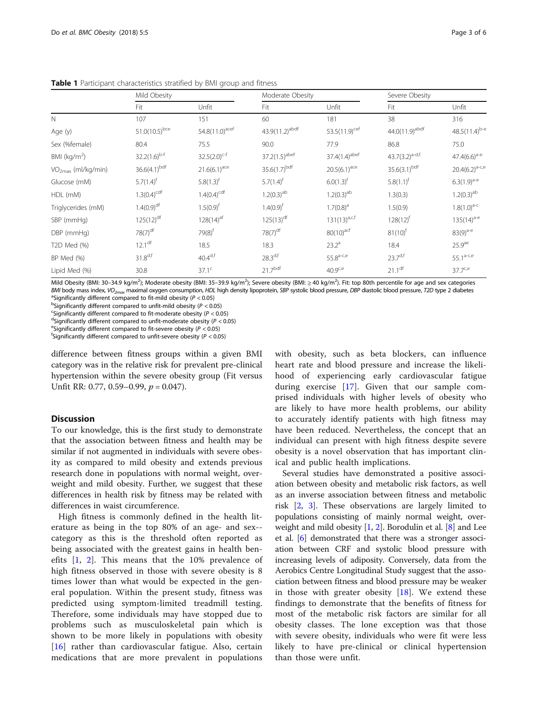$RMI$ 

<span id="page-2-0"></span>

| Table 1 Participant characteristics stratified by BMI group and fitness |                            |                            |                             |                             |                            |                          |
|-------------------------------------------------------------------------|----------------------------|----------------------------|-----------------------------|-----------------------------|----------------------------|--------------------------|
|                                                                         | Mild Obesity               |                            | Moderate Obesity            |                             | Severe Obesity             |                          |
|                                                                         | Fit                        | Unfit                      | Fit                         | Unfit                       | Fit                        | Unfit                    |
| Ν                                                                       | 107                        | 151                        | 60                          | 181                         | 38                         | 316                      |
| Age (y)                                                                 | $51.0(10.5)^{bce}$         | 54.8(11.0) <sup>acef</sup> | 43.9(11.2) <sup>abdf</sup>  | 53.5(11.9) <sup>cef</sup>   | 44.0(11.9) <sup>abdf</sup> | $48.5(11.4)^{b-e}$       |
| Sex (%female)                                                           | 80.4                       | 75.5                       | 90.0                        | 77.9                        | 86.8                       | 75.0                     |
| BMI (kg/m <sup>2</sup> )                                                | $32.2(1.6)^{b-f}$          | $32.5(2.0)^{c-f}$          | $37.2(1.5)$ <sup>abef</sup> | $37.4(1.4)$ <sup>abef</sup> | $43.7(3.2)^{a-d,f}$        | $47.4(6.6)^{a-e}$        |
| VO <sub>2max</sub> (ml/kg/min)                                          | $36.6(4.1)$ <sup>bdf</sup> | $21.6(6.1)^{ace}$          | $35.6(1.7)$ <sup>bdf</sup>  | $20.5(6.1)^{ace}$           | $35.6(3.1)$ <sup>bdf</sup> | $20.4(6.2)^{a-c,e}$      |
| Glucose (mM)                                                            | $5.7(1.4)^f$               | $5.8(1.3)^{f}$             | $5.7(1.4)^f$                | $6.0(1.3)^{f}$              | $5.8(1.1)^f$               | $6.3(1.9)^{a-e}$         |
| HDL (mM)                                                                | $1.3(0.4)^{cdf}$           | $1.4(0.4)^{cdf}$           | $1.2(0.3)$ <sup>ab</sup>    | $1.2(0.3)$ <sup>ab</sup>    | 1.3(0.3)                   | $1.2(0.3)$ <sup>ab</sup> |
| Triglycerides (mM)                                                      | $1.4(0.9)$ <sup>df</sup>   | $1.5(0.9)^f$               | $1.4(0.9)^f$                | $1.7(0.8)^a$                | 1.5(0.9)                   | $1.8(1.0)^{a-c}$         |
| SBP (mmHg)                                                              | $125(12)$ <sup>df</sup>    | $128(14)$ <sup>af</sup>    | $125(13)$ <sup>df</sup>     | $131(13)^{a,c,f}$           | $128(12)^{f}$              | $135(14)^{a-e}$          |
| DBP (mmHg)                                                              | $78(7)$ <sup>df</sup>      | $79(8)$ <sup>f</sup>       | $78(7)$ <sup>df</sup>       | $80(10)^{act}$              | $81(10)^{t}$               | $83(9)^{a-e}$            |

Mild Obesity (BMI: 30–34.9 kg/m<sup>2</sup>); Moderate obesity (BMI: 35–39.9 kg/m<sup>2</sup>); Severe obesity (BMI: ≥ 40 kg/m<sup>2</sup>). Fit: top 80th percentile for age and sex categories BMI body mass index, VO<sub>2max</sub> maximal oxygen consumption, HDL high density lipoprotein, SBP systolic blood pressure, DBP diastolic blood pressure, T2D type 2 diabetes <sup>a</sup>Significantly different compared to fit-mild obesity ( $P < 0.05$ )

T2D Med (%) 12.1<sup>df</sup> 18.5 18.3 23.2<sup>a</sup> 18.4 25.9<sup>ac</sup> BP Med (%) 31.8<sup>d,f</sup> 40.4<sup>d,f</sup> 28.3<sup>d,f</sup> 55.8<sup>a-c,e</sup> 23.7<sup>d,f</sup> 55.1a-c,e Lipid Med (%) 30.8 37.1<sup>c</sup> 21.7<sup>bdf</sup> 40.9<sup>ce</sup> 21.1<sup>df</sup> 37.7<sup>ce</sup>

 $b$ Significantly different compared to unfit-mild obesity ( $P < 0.05$ )

<sup>c</sup>Significantly different compared to fit-moderate obesity ( $P < 0.05$ )

<sup>d</sup>Significantly different compared to unfit-moderate obesity ( $P < 0.05$ )

 $\rm ^e$ Significantly different compared to fit-severe obesity ( $P < 0.05$ )

<sup>t</sup>Significantly different compared to unfit-severe obesity ( $P < 0.05$ )

difference between fitness groups within a given BMI category was in the relative risk for prevalent pre-clinical hypertension within the severe obesity group (Fit versus Unfit RR: 0.77, 0.59–0.99,  $p = 0.047$ ).

# **Discussion**

To our knowledge, this is the first study to demonstrate that the association between fitness and health may be similar if not augmented in individuals with severe obesity as compared to mild obesity and extends previous research done in populations with normal weight, overweight and mild obesity. Further, we suggest that these differences in health risk by fitness may be related with differences in waist circumference.

High fitness is commonly defined in the health literature as being in the top 80% of an age- and sex- category as this is the threshold often reported as being associated with the greatest gains in health benefits [[1,](#page-5-0) [2\]](#page-5-0). This means that the 10% prevalence of high fitness observed in those with severe obesity is 8 times lower than what would be expected in the general population. Within the present study, fitness was predicted using symptom-limited treadmill testing. Therefore, some individuals may have stopped due to problems such as musculoskeletal pain which is shown to be more likely in populations with obesity [[16\]](#page-5-0) rather than cardiovascular fatigue. Also, certain medications that are more prevalent in populations

with obesity, such as beta blockers, can influence heart rate and blood pressure and increase the likelihood of experiencing early cardiovascular fatigue during exercise [\[17](#page-5-0)]. Given that our sample comprised individuals with higher levels of obesity who are likely to have more health problems, our ability to accurately identify patients with high fitness may have been reduced. Nevertheless, the concept that an individual can present with high fitness despite severe obesity is a novel observation that has important clinical and public health implications.

Several studies have demonstrated a positive association between obesity and metabolic risk factors, as well as an inverse association between fitness and metabolic risk [[2,](#page-5-0) [3](#page-5-0)]. These observations are largely limited to populations consisting of mainly normal weight, overweight and mild obesity [\[1](#page-5-0), [2\]](#page-5-0). Borodulin et al. [\[8](#page-5-0)] and Lee et al. [\[6\]](#page-5-0) demonstrated that there was a stronger association between CRF and systolic blood pressure with increasing levels of adiposity. Conversely, data from the Aerobics Centre Longitudinal Study suggest that the association between fitness and blood pressure may be weaker in those with greater obesity  $[18]$  $[18]$ . We extend these findings to demonstrate that the benefits of fitness for most of the metabolic risk factors are similar for all obesity classes. The lone exception was that those with severe obesity, individuals who were fit were less likely to have pre-clinical or clinical hypertension than those were unfit.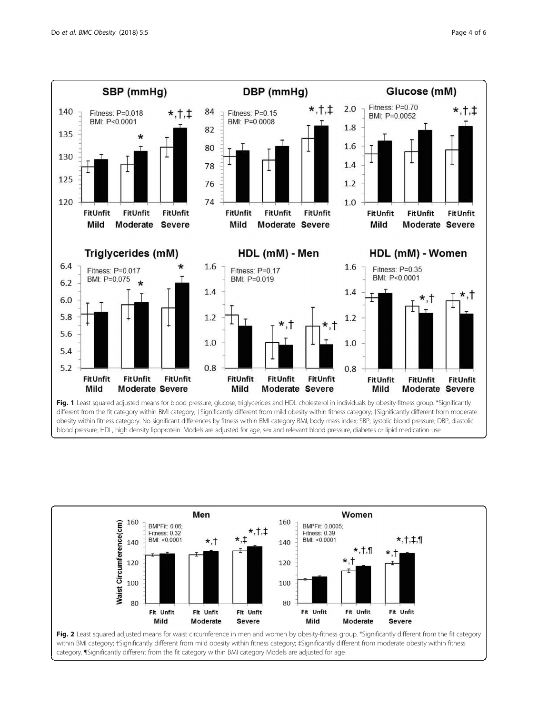<span id="page-3-0"></span>

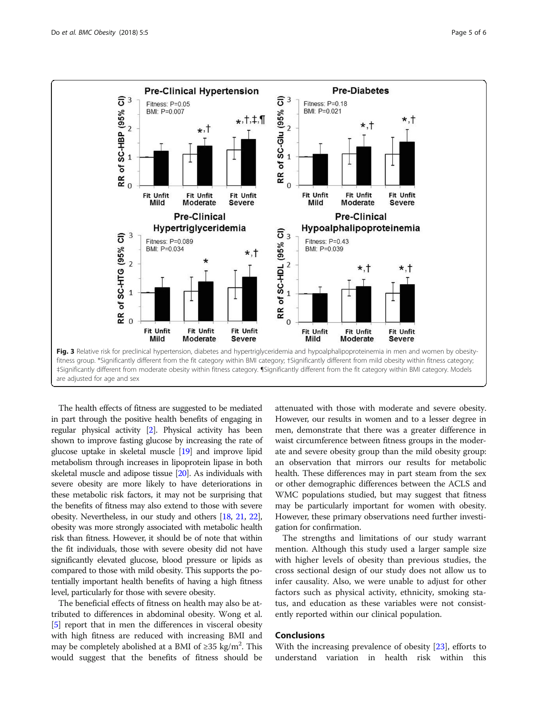<span id="page-4-0"></span>

The health effects of fitness are suggested to be mediated in part through the positive health benefits of engaging in regular physical activity [[2\]](#page-5-0). Physical activity has been shown to improve fasting glucose by increasing the rate of glucose uptake in skeletal muscle [[19](#page-5-0)] and improve lipid metabolism through increases in lipoprotein lipase in both skeletal muscle and adipose tissue [\[20](#page-5-0)]. As individuals with severe obesity are more likely to have deteriorations in these metabolic risk factors, it may not be surprising that the benefits of fitness may also extend to those with severe obesity. Nevertheless, in our study and others [\[18,](#page-5-0) [21](#page-5-0), [22](#page-5-0)], obesity was more strongly associated with metabolic health risk than fitness. However, it should be of note that within the fit individuals, those with severe obesity did not have significantly elevated glucose, blood pressure or lipids as compared to those with mild obesity. This supports the potentially important health benefits of having a high fitness level, particularly for those with severe obesity.

The beneficial effects of fitness on health may also be attributed to differences in abdominal obesity. Wong et al. [[5\]](#page-5-0) report that in men the differences in visceral obesity with high fitness are reduced with increasing BMI and may be completely abolished at a BMI of ≥35 kg/m<sup>2</sup>. This would suggest that the benefits of fitness should be

attenuated with those with moderate and severe obesity. However, our results in women and to a lesser degree in men, demonstrate that there was a greater difference in waist circumference between fitness groups in the moderate and severe obesity group than the mild obesity group: an observation that mirrors our results for metabolic health. These differences may in part steam from the sex or other demographic differences between the ACLS and WMC populations studied, but may suggest that fitness may be particularly important for women with obesity. However, these primary observations need further investigation for confirmation.

The strengths and limitations of our study warrant mention. Although this study used a larger sample size with higher levels of obesity than previous studies, the cross sectional design of our study does not allow us to infer causality. Also, we were unable to adjust for other factors such as physical activity, ethnicity, smoking status, and education as these variables were not consistently reported within our clinical population.

# Conclusions

With the increasing prevalence of obesity [[23](#page-5-0)], efforts to understand variation in health risk within this